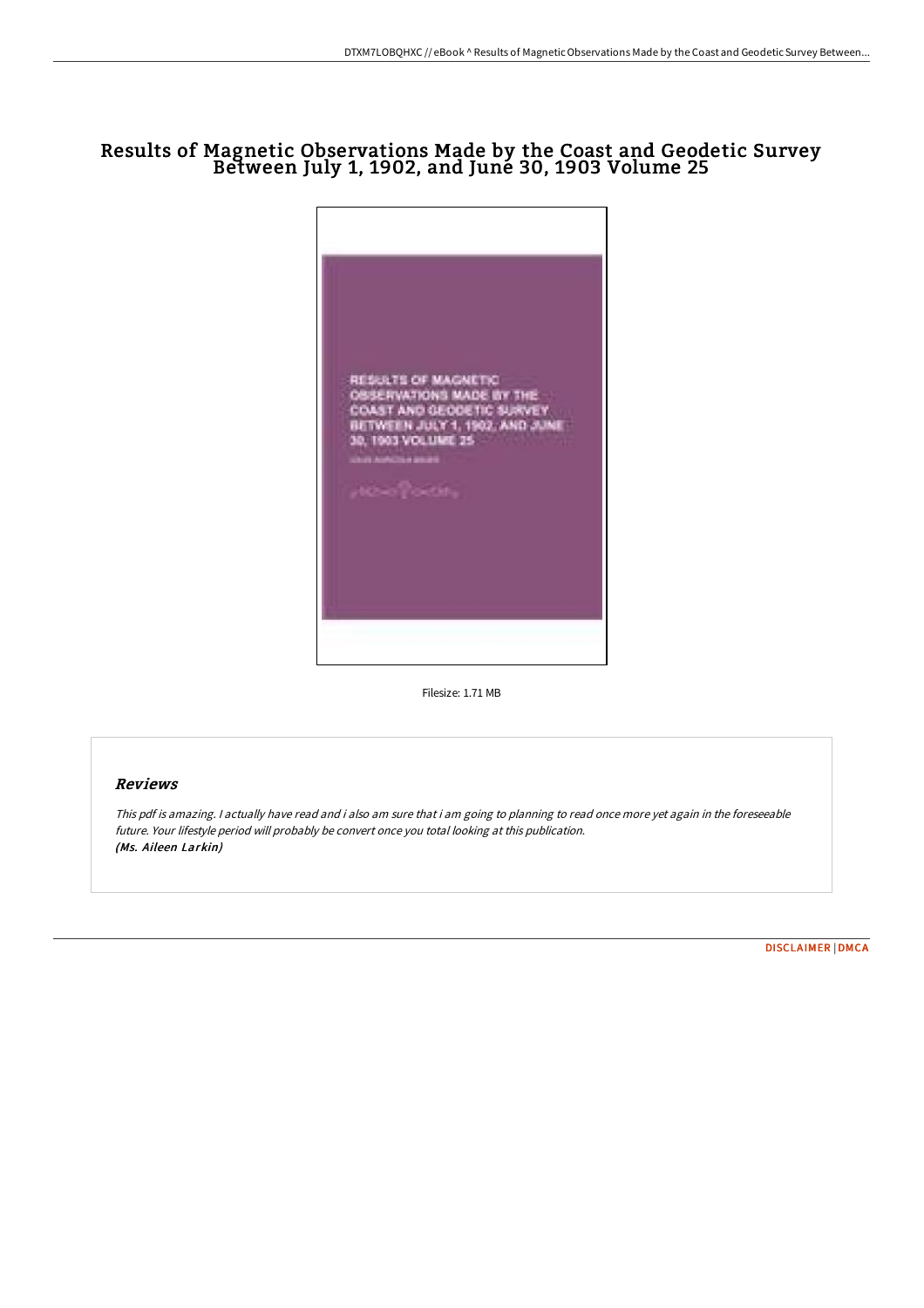## Results of Magnetic Observations Made by the Coast and Geodetic Survey Between July 1, 1902, and June 30, 1903 Volume 25



Filesize: 1.71 MB

## Reviews

This pdf is amazing. <sup>I</sup> actually have read and i also am sure that i am going to planning to read once more yet again in the foreseeable future. Your lifestyle period will probably be convert once you total looking at this publication. (Ms. Aileen Larkin)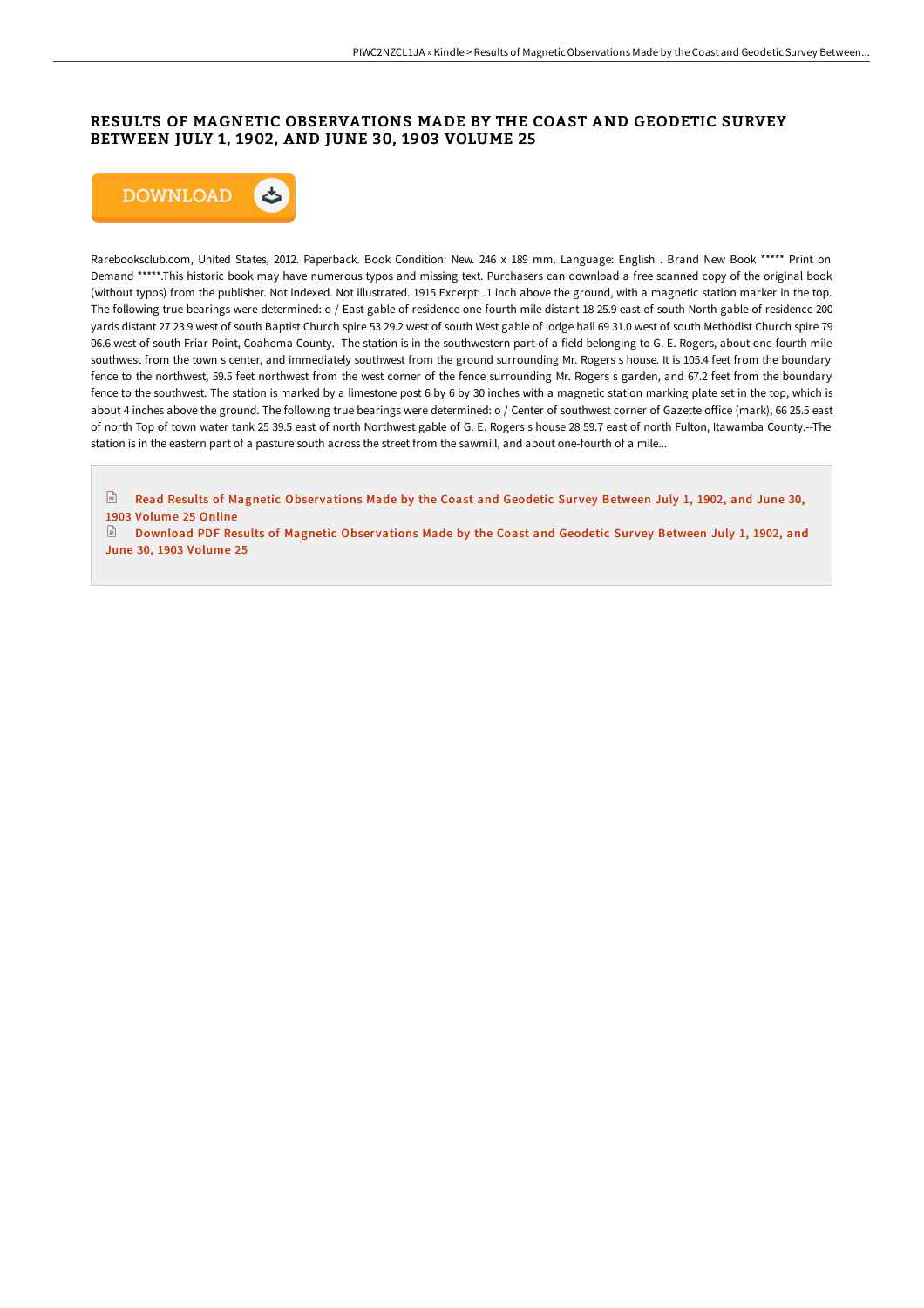## RESULTS OF MAGNETIC OBSERVATIONS MADE BY THE COAST AND GEODETIC SURVEY BETWEEN JULY 1, 1902, AND JUNE 30, 1903 VOLUME 25



Rarebooksclub.com, United States, 2012. Paperback. Book Condition: New. 246 x 189 mm. Language: English . Brand New Book \*\*\*\*\* Print on Demand \*\*\*\*\*.This historic book may have numerous typos and missing text. Purchasers can download a free scanned copy of the original book (without typos) from the publisher. Not indexed. Not illustrated. 1915 Excerpt: .1 inch above the ground, with a magnetic station marker in the top. The following true bearings were determined: o / East gable of residence one-fourth mile distant 18 25.9 east of south North gable of residence 200 yards distant 27 23.9 west of south Baptist Church spire 53 29.2 west of south West gable of lodge hall 69 31.0 west of south Methodist Church spire 79 06.6 west of south Friar Point, Coahoma County.--The station is in the southwestern part of a field belonging to G. E. Rogers, about one-fourth mile southwest from the town s center, and immediately southwest from the ground surrounding Mr. Rogers s house. It is 105.4 feet from the boundary fence to the northwest, 59.5 feet northwest from the west corner of the fence surrounding Mr. Rogers s garden, and 67.2 feet from the boundary fence to the southwest. The station is marked by a limestone post 6 by 6 by 30 inches with a magnetic station marking plate set in the top, which is about 4 inches above the ground. The following true bearings were determined: o / Center of southwest corner of Gazette office (mark), 66 25.5 east of north Top of town water tank 25 39.5 east of north Northwest gable of G. E. Rogers s house 28 59.7 east of north Fulton, Itawamba County.--The station is in the eastern part of a pasture south across the street from the sawmill, and about one-fourth of a mile...

 $\sqrt{m}$ Read Results of [Magnetic](http://www.dailydocs.site/results-of-magnetic-observations-made-by-the-coa-1.html) Observations Made by the Coast and Geodetic Survey Between July 1, 1902, and June 30, 1903 Volume 25 Online

[Download](http://www.dailydocs.site/results-of-magnetic-observations-made-by-the-coa-1.html) PDF Results of Magnetic Observations Made by the Coast and Geodetic Survey Between July 1, 1902, and June 30, 1903 Volume 25